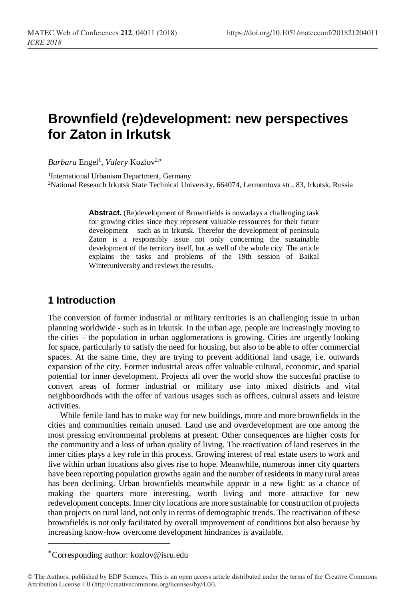# **Brownfield (re)development: new perspectives for Zaton in Irkutsk**

*Barbara* Engel<sup>1</sup>, *Valery* Kozlov<sup>2,\*</sup>

1 International Urbanism Department, Germany <sup>2</sup>National Research Irkutsk State Technical University, 664074, Lermontova str., 83, Irkutsk, Russia

> **Abstract.** (Re)development of Brownfields is nowadays a challenging task for growing cities since they represent valuable ressources for their future development – such as in Irkutsk. Therefor the development of peninsula Zaton is a responsibly issue not only concerning the sustainable development of the territory itself, but as well of the whole city. The article explains the tasks and problems of the 19th session of Baikal Winteruniversity and reviews the results.

### **1 Introduction**

The conversion of former industrial or military territories is an challenging issue in urban planning worldwide - such as in Irkutsk. In the urban age, people are increasingly moving to the cities – the population in urban agglomerations is growing. Cities are urgently looking for space, particularly to satisfy the need for housing, but also to be able to offer commercial spaces. At the same time, they are trying to prevent additional land usage, i.e. outwards expansion of the city. Former industrial areas offer valuable cultural, economic, and spatial potential for inner development. Projects all over the world show the succesful practise to convert areas of former industrial or military use into mixed districts and vital neighboordhods with the offer of various usages such as offices, cultural assets and leisure activities.

While fertile land has to make way for new buildings, more and more brownfields in the cities and communities remain unused. Land use and overdevelopment are one among the most pressing environmental problems at present. Other consequences are higher costs for the community and a loss of urban quality of living. The reactivation of land reserves in the inner cities plays a key role in this process. Growing interest of real estate users to work and live within urban locations also gives rise to hope. Meanwhile, numerous inner city quarters have been reporting population growths again and the number of residents in many rural areas has been declining. Urban brownfields meanwhile appear in a new light: as a chance of making the quarters more interesting, worth living and more attractive for new redevelopment concepts. Inner city locations are more sustainable for construction of projects than projects on rural land, not only in terms of demographic trends. The reactivation of these brownfields is not only facilitated by overall improvement of conditions but also because by increasing know-how overcome development hindrances is available.

 $\overline{a}$ 

Corresponding author: kozlov@isru.edu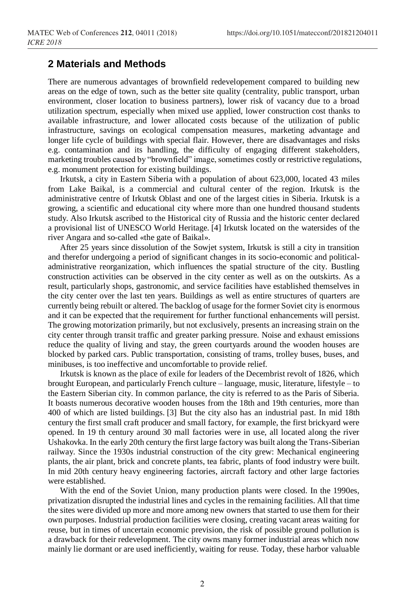#### **2 Materials and Methods**

There are numerous advantages of brownfield redevelopement compared to building new areas on the edge of town, such as the better site quality (centrality, public transport, urban environment, closer location to business partners), lower risk of vacancy due to a broad utilization spectrum, especially when mixed use applied, lower construction cost thanks to available infrastructure, and lower allocated costs because of the utilization of public infrastructure, savings on ecological compensation measures, marketing advantage and longer life cycle of buildings with special flair. However, there are disadvantages and risks e.g. contamination and its handling, the difficulty of engaging different stakeholders, marketing troubles caused by "brownfield" image, sometimes costly or restrictive regulations, e.g. monument protection for existing buildings.

Irkutsk, a city in Eastern Siberia with a population of about 623,000, located 43 miles from Lake Baikal, is a commercial and cultural center of the region. Irkutsk is the administrative centre of Irkutsk Oblast and one of the largest cities in Siberia. Irkutsk is a growing, a scientific and educational city where more than one hundred thousand students study. Also Irkutsk ascribed to the Historical city of Russia and the historic center declared a provisional list of UNESCO World Heritage. [4] Irkutsk located on the watersides of the river Angara and so-called «the gate of Baikal».

After 25 years since dissolution of the Sowjet system, Irkutsk is still a city in transition and therefor undergoing a period of significant changes in its socio-economic and politicaladministrative reorganization, which influences the spatial structure of the city. Bustling construction activities can be observed in the city center as well as on the outskirts. As a result, particularly shops, gastronomic, and service facilities have established themselves in the city center over the last ten years. Buildings as well as entire structures of quarters are currently being rebuilt or altered. The backlog of usage for the former Soviet city is enormous and it can be expected that the requirement for further functional enhancements will persist. The growing motorization primarily, but not exclusively, presents an increasing strain on the city center through transit traffic and greater parking pressure. Noise and exhaust emissions reduce the quality of living and stay, the green courtyards around the wooden houses are blocked by parked cars. Public transportation, consisting of trams, trolley buses, buses, and minibuses, is too ineffective and uncomfortable to provide relief.

Irkutsk is known as the place of exile for leaders of the Decembrist revolt of 1826, which brought European, and particularly French culture – language, music, literature, lifestyle – to the Eastern Siberian city. In common parlance, the city is referred to as the Paris of Siberia. It boasts numerous decorative wooden houses from the 18th and 19th centuries, more than 400 of which are listed buildings. [3] But the city also has an industrial past. In mid 18th century the first small craft producer and small factory, for example, the first brickyard were opened. In 19 th century around 30 mall factories were in use, all located along the river Ushakovka. In the early 20th century the first large factory was built along the Trans-Siberian railway. Since the 1930s industrial construction of the city grew: Mechanical engineering plants, the air plant, brick and concrete plants, tea fabric, plants of food industry were built. In mid 20th century heavy engineering factories, aircraft factory and other large factories were established.

With the end of the Soviet Union, many production plants were closed. In the 1990es, privatization disrupted the industrial lines and cycles in the remaining facilities. All that time the sites were divided up more and more among new owners that started to use them for their own purposes. Industrial production facilities were closing, creating vacant areas waiting for reuse, but in times of uncertain economic prevision, the risk of possible ground pollution is a drawback for their redevelopment. The city owns many former industrial areas which now mainly lie dormant or are used inefficiently, waiting for reuse. Today, these harbor valuable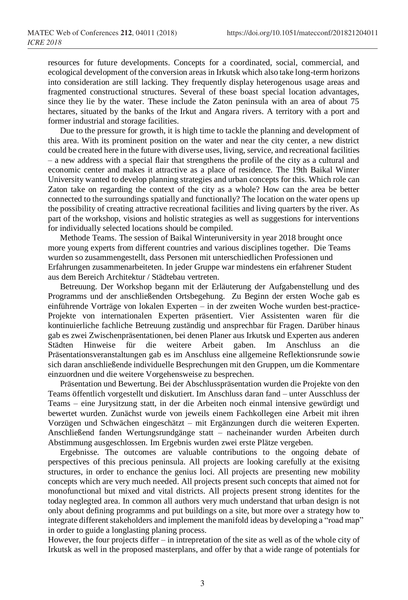resources for future developments. Concepts for a coordinated, social, commercial, and ecological development of the conversion areas in Irkutsk which also take long-term horizons into consideration are still lacking. They frequently display heterogenous usage areas and fragmented constructional structures. Several of these boast special location advantages, since they lie by the water. These include the Zaton peninsula with an area of about 75 hectares, situated by the banks of the Irkut and Angara rivers. A territory with a port and former industrial and storage facilities.

Due to the pressure for growth, it is high time to tackle the planning and development of this area. With its prominent position on the water and near the city center, a new district could be created here in the future with diverse uses, living, service, and recreational facilities – a new address with a special flair that strengthens the profile of the city as a cultural and economic center and makes it attractive as a place of residence. The 19th Baikal Winter University wanted to develop planning strategies and urban concepts for this. Which role can Zaton take on regarding the context of the city as a whole? How can the area be better connected to the surroundings spatially and functionally? The location on the water opens up the possibility of creating attractive recreational facilities and living quarters by the river. As part of the workshop, visions and holistic strategies as well as suggestions for interventions for individually selected locations should be compiled.

Methode Teams. The session of Baikal Winteruniversity in year 2018 brought once more young experts from different countries and various disciplines together. Die Teams wurden so zusammengestellt, dass Personen mit unterschiedlichen Professionen und Erfahrungen zusammenarbeiteten. In jeder Gruppe war mindestens ein erfahrener Student aus dem Bereich Architektur / Städtebau vertreten.

Betreuung. Der Workshop begann mit der Erläuterung der Aufgabenstellung und des Programms und der anschließenden Ortsbegehung. Zu Beginn der ersten Woche gab es einführende Vorträge von lokalen Experten – in der zweiten Woche wurden best-practice-Projekte von internationalen Experten präsentiert. Vier Assistenten waren für die kontinuierliche fachliche Betreuung zuständig und ansprechbar für Fragen. Darüber hinaus gab es zwei Zwischenpräsentationen, bei denen Planer aus Irkutsk und Experten aus anderen Städten Hinweise für die weitere Arbeit gaben. Im Anschluss an die Präsentationsveranstaltungen gab es im Anschluss eine allgemeine Reflektionsrunde sowie sich daran anschließende individuelle Besprechungen mit den Gruppen, um die Kommentare einzuordnen und die weitere Vorgehensweise zu besprechen.

Präsentation und Bewertung. Bei der Abschlusspräsentation wurden die Projekte von den Teams öffentlich vorgestellt und diskutiert. Im Anschluss daran fand – unter Ausschluss der Teams – eine Jurysitzung statt, in der die Arbeiten noch einmal intensive gewürdigt und bewertet wurden. Zunächst wurde von jeweils einem Fachkollegen eine Arbeit mit ihren Vorzügen und Schwächen eingeschätzt – mit Ergänzungen durch die weiteren Experten. Anschließend fanden Wertungsrundgänge statt – nacheinander wurden Arbeiten durch Abstimmung ausgeschlossen. Im Ergebnis wurden zwei erste Plätze vergeben.

Ergebnisse. The outcomes are valuable contributions to the ongoing debate of perspectives of this precious peninsula. All projects are looking carefully at the exisitng structures, in order to enchance the genius loci. All projects are presenting new mobility concepts which are very much needed. All projects present such concepts that aimed not for monofunctional but mixed and vital districts. All projects present strong identites for the today neglegted area. In common all authors very much understand that urban design is not only about defining programms and put buildings on a site, but more over a strategy how to integrate different stakeholders and implement the manifold ideas by developing a "road map" in order to guide a longlasting planing process.

However, the four projects differ – in intrepretation of the site as well as of the whole city of Irkutsk as well in the proposed masterplans, and offer by that a wide range of potentials for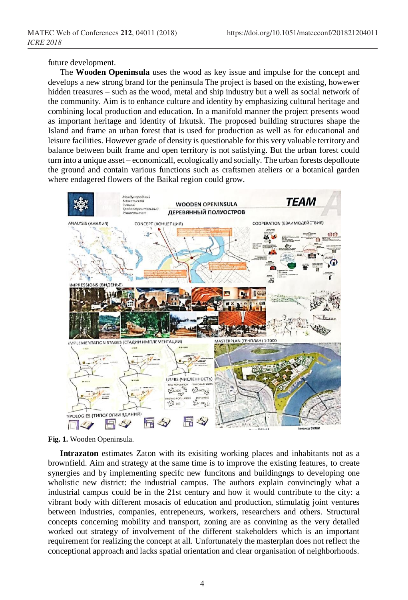future development.

The **Wooden Openinsula** uses the wood as key issue and impulse for the concept and develops a new strong brand for the peninsula The project is based on the existing, howewer hidden treasures – such as the wood, metal and ship industry but a well as social network of the community. Aim is to enhance culture and identity by emphasizing cultural heritage and combining local production and education. In a manifold manner the project presents wood as important heritage and identity of Irkutsk. The proposed building structures shape the Island and frame an urban forest that is used for production as well as for educational and leisure facilities. However grade of density is questionable for this very valuable territory and balance between built frame and open territory is not satisfying. But the urban forest could turn into a unique asset – economicall, ecologically and socially. The urban forests depolloute the ground and contain various functions such as craftsmen ateliers or a botanical garden where endagered flowers of the Baikal region could grow.



**Fig. 1.** Wooden Openinsula.

**Intrazaton** estimates Zaton with its exisiting working places and inhabitants not as a brownfield. Aim and strategy at the same time is to improve the existing features, to create synergies and by implementing specifc new funcitons and buildingngs to developing one wholistic new district: the industrial campus. The authors explain convincingly what a industrial campus could be in the 21st century and how it would contribute to the city: a vibrant body with different mosacis of education and production, stimulatig joint ventures between industries, companies, entrepeneurs, workers, researchers and others. Structural concepts concerning mobility and transport, zoning are as convining as the very detailed worked out strategy of involvement of the different stakeholders which is an important requirement for realizing the concept at all. Unfortunately the masterplan does not reflect the conceptional approach and lacks spatial orientation and clear organisation of neighborhoods.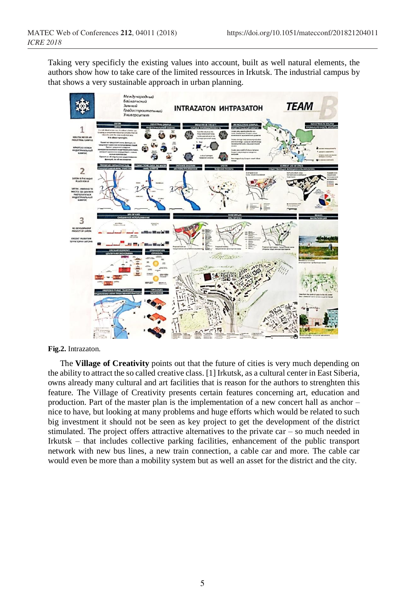Taking very specificly the existing values into account, built as well natural elements, the authors show how to take care of the limited ressources in Irkutsk. The industrial campus by that shows a very sustainable approach in urban planning.



**Fig.2.** Intrazaton.

The **Village of Creativity** points out that the future of cities is very much depending on the ability to attract the so called creative class. [1] Irkutsk, as a cultural center in East Siberia, owns already many cultural and art facilities that is reason for the authors to strenghten this feature. The Village of Creativity presents certain features concerning art, education and production. Part of the master plan is the implementation of a new concert hall as anchor – nice to have, but looking at many problems and huge efforts which would be related to such big investment it should not be seen as key project to get the development of the district stimulated. The project offers attractive alternatives to the private  $car - so$  much needed in Irkutsk – that includes collective parking facilities, enhancement of the public transport network with new bus lines, a new train connection, a cable car and more. The cable car would even be more than a mobility system but as well an asset for the district and the city.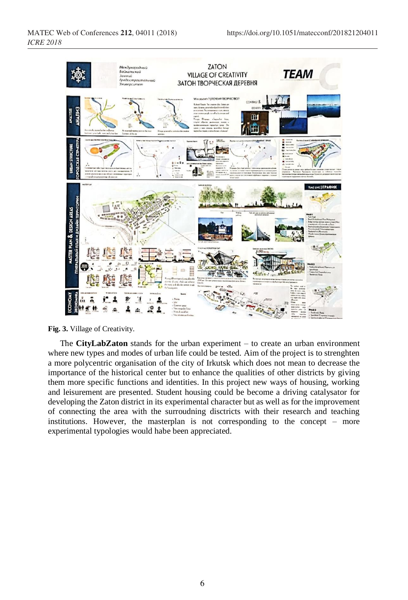

**Fig. 3.** Village of Creativity.

The **CityLabZaton** stands for the urban experiment – to create an urban environment where new types and modes of urban life could be tested. Aim of the project is to strenghten a more polycentric organisation of the city of Irkutsk which does not mean to decrease the importance of the historical center but to enhance the qualities of other districts by giving them more specific functions and identities. In this project new ways of housing, working and leisurement are presented. Student housing could be become a driving catalysator for developing the Zaton district in its experimental character but as well as for the improvement of connecting the area with the surroudning disctricts with their research and teaching institutions. However, the masterplan is not corresponding to the concept – more experimental typologies would habe been appreciated.